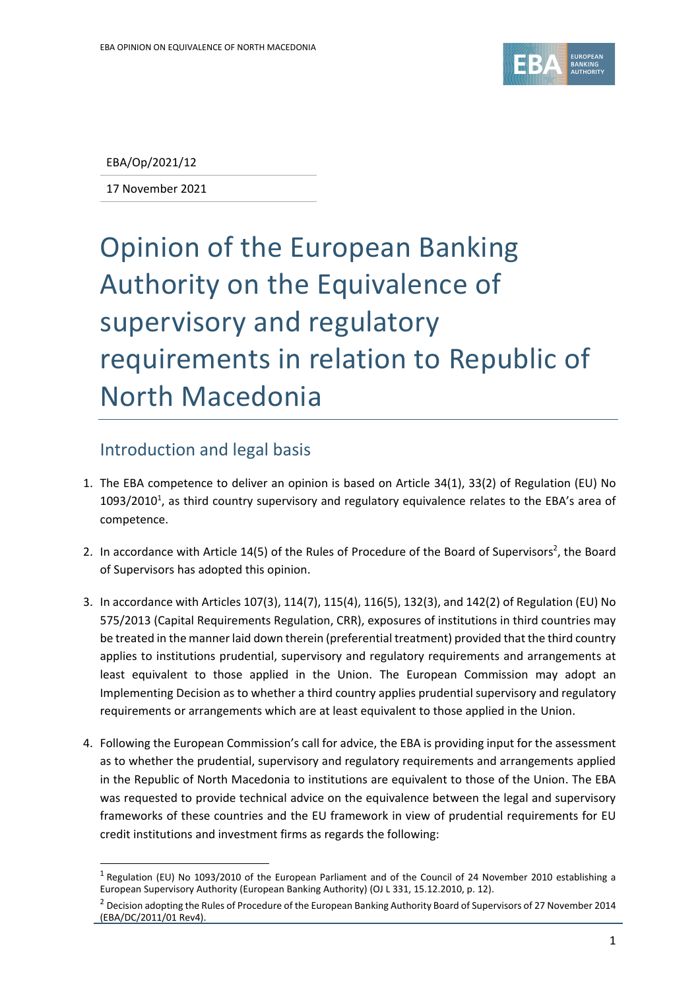

EBA/Op/2021/12

17 November 2021

## Opinion of the European Banking Authority on the Equivalence of supervisory and regulatory requirements in relation to Republic of North Macedonia

## Introduction and legal basis

- 1. The EBA competence to deliver an opinion is based on Article 34(1), 33(2) of Regulation (EU) No  $1093/2010<sup>1</sup>$ , as third country supervisory and regulatory equivalence relates to the EBA's area of competence.
- 2. In accordance with Article 14(5) of the Rules of Procedure of the Board of Supervisors<sup>2</sup>, the Board of Supervisors has adopted this opinion.
- 3. In accordance with Articles 107(3), 114(7), 115(4), 116(5), 132(3), and 142(2) of Regulation (EU) No 575/2013 (Capital Requirements Regulation, CRR), exposures of institutions in third countries may be treated in the manner laid down therein (preferential treatment) provided that the third country applies to institutions prudential, supervisory and regulatory requirements and arrangements at least equivalent to those applied in the Union. The European Commission may adopt an Implementing Decision as to whether a third country applies prudential supervisory and regulatory requirements or arrangements which are at least equivalent to those applied in the Union.
- 4. Following the European Commission's call for advice, the EBA is providing input for the assessment as to whether the prudential, supervisory and regulatory requirements and arrangements applied in the Republic of North Macedonia to institutions are equivalent to those of the Union. The EBA was requested to provide technical advice on the equivalence between the legal and supervisory frameworks of these countries and the EU framework in view of prudential requirements for EU credit institutions and investment firms as regards the following:

<sup>&</sup>lt;sup>1</sup> Regulation (EU) No 1093/2010 of the European Parliament and of the Council of 24 November 2010 establishing a European Supervisory Authority (European Banking Authority) (OJ L 331, 15.12.2010, p. 12).

 $2$  Decision adopting the Rules of Procedure of the European Banking Authority Board of Supervisors of 27 November 2014 (EBA/DC/2011/01 Rev4).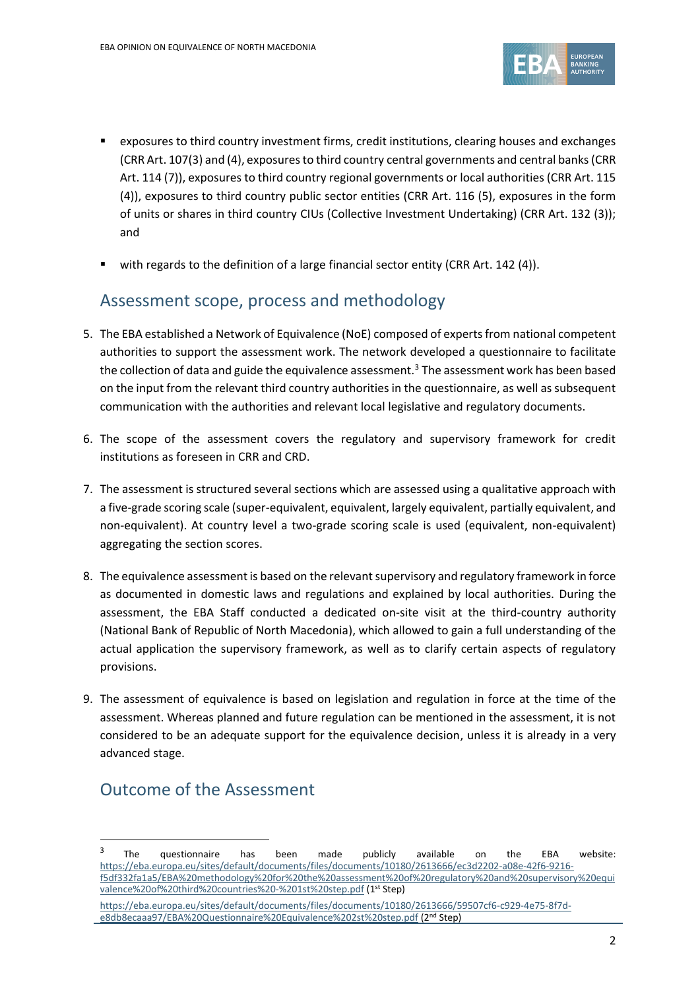

- exposures to third country investment firms, credit institutions, clearing houses and exchanges (CRR Art. 107(3) and (4), exposures to third country central governments and central banks(CRR Art. 114 (7)), exposures to third country regional governments or local authorities (CRR Art. 115 (4)), exposures to third country public sector entities (CRR Art. 116 (5), exposures in the form of units or shares in third country CIUs (Collective Investment Undertaking) (CRR Art. 132 (3)); and
- with regards to the definition of a large financial sector entity (CRR Art. 142 (4)).

## Assessment scope, process and methodology

- 5. The EBA established a Network of Equivalence (NoE) composed of experts from national competent authorities to support the assessment work. The network developed a questionnaire to facilitate the collection of data and guide the equivalence assessment.<sup>3</sup> The assessment work has been based on the input from the relevant third country authorities in the questionnaire, as well as subsequent communication with the authorities and relevant local legislative and regulatory documents.
- 6. The scope of the assessment covers the regulatory and supervisory framework for credit institutions as foreseen in CRR and CRD.
- 7. The assessment is structured several sections which are assessed using a qualitative approach with a five-grade scoring scale (super-equivalent, equivalent, largely equivalent, partially equivalent, and non-equivalent). At country level a two-grade scoring scale is used (equivalent, non-equivalent) aggregating the section scores.
- 8. The equivalence assessment is based on the relevant supervisory and regulatory framework in force as documented in domestic laws and regulations and explained by local authorities. During the assessment, the EBA Staff conducted a dedicated on-site visit at the third-country authority (National Bank of Republic of North Macedonia), which allowed to gain a full understanding of the actual application the supervisory framework, as well as to clarify certain aspects of regulatory provisions.
- 9. The assessment of equivalence is based on legislation and regulation in force at the time of the assessment. Whereas planned and future regulation can be mentioned in the assessment, it is not considered to be an adequate support for the equivalence decision, unless it is already in a very advanced stage.

## Outcome of the Assessment

<sup>3</sup> The questionnaire has been made publicly available on the EBA website: [https://eba.europa.eu/sites/default/documents/files/documents/10180/2613666/ec3d2202-a08e-42f6-9216](https://eba.europa.eu/sites/default/documents/files/documents/10180/2613666/ec3d2202-a08e-42f6-9216-f5df332fa1a5/EBA%20methodology%20for%20the%20assessment%20of%20regulatory%20and%20supervisory%20equivalence%20of%20third%20countries%20-%201st%20step.pdf) [f5df332fa1a5/EBA%20methodology%20for%20the%20assessment%20of%20regulatory%20and%20supervisory%20equi](https://eba.europa.eu/sites/default/documents/files/documents/10180/2613666/ec3d2202-a08e-42f6-9216-f5df332fa1a5/EBA%20methodology%20for%20the%20assessment%20of%20regulatory%20and%20supervisory%20equivalence%20of%20third%20countries%20-%201st%20step.pdf) [valence%20of%20third%20countries%20-%201st%20step.pdf](https://eba.europa.eu/sites/default/documents/files/documents/10180/2613666/ec3d2202-a08e-42f6-9216-f5df332fa1a5/EBA%20methodology%20for%20the%20assessment%20of%20regulatory%20and%20supervisory%20equivalence%20of%20third%20countries%20-%201st%20step.pdf) (1st Step)

[https://eba.europa.eu/sites/default/documents/files/documents/10180/2613666/59507cf6-c929-4e75-8f7d](https://eba.europa.eu/sites/default/documents/files/documents/10180/2613666/59507cf6-c929-4e75-8f7d-e8db8ecaaa97/EBA%20Questionnaire%20Equivalence%202st%20step.pdf)[e8db8ecaaa97/EBA%20Questionnaire%20Equivalence%202st%20step.pdf](https://eba.europa.eu/sites/default/documents/files/documents/10180/2613666/59507cf6-c929-4e75-8f7d-e8db8ecaaa97/EBA%20Questionnaire%20Equivalence%202st%20step.pdf) (2nd Step)